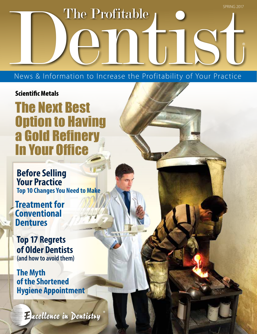**SPRING 2017** 

®

The Profitable<br>
News & Information to Increase the Profitability of Your Practice

The Profitable

Scientific Metals

The Next Best Option to Having a Gold Refinery In Your Office

**Before Selling Your Practice Top 10 Changes You Need to Make**

**Treatment for Conventional Dentures**

**Top 17 Regrets of Older Dentists (and how to avoid them)**

**The Myth of the Shortened Hygiene Appointment**

**Excellence in Dentistry**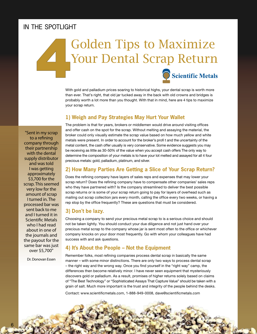# IN THE SPOTLIGHT

# Golden Tips to Maximize<br>
Your Dental Scrap Return<br>
Scientific Metals Your Dental Scrap Return

With gold and palladium prices soaring to historical highs, your dental scrap is worth more than ever. That's right, that old jar tucked away in the back with old crowns and bridges is probably worth a lot more than you thought. With that in mind, here are 4 tips to maximize your scrap return.

## **1) Weigh and Pay Strategies May Hurt Your Wallet**

"Sent in my scrap to a refining company through their partnership with the dental supply distributor and was told I was getting approximately \$3,700 for the scrap. This seemed very low for the amount of scrap I turned in. The processed bar was sent back to me and I turned it in Scientific Metals who I had read about in one of the journals and the payout for the same bar was just over \$5,700"

Dr. Donovan Essen

The problem is that for years, brokers or middlemen would drive around visiting offices and offer cash on the spot for the scrap. Without melting and assaying the material, the broker could only visually estimate the scrap value based on how much yellow and white metals were present. In order to account for the broker's profi t and the uncertainty of the metal content, the cash offer usually is very conservative. Some evidence suggests you may be receiving as little as 30-50% of the value when you accept cash offers The only way to determine the composition of your metals is to have your lot melted and assayed for all 4 four precious metals: gold, palladium, platinum, and silver.

### **2) How Many Parties Are Getting a Slice of Your Scrap Return?**

Does the refining company have layers of sales reps and expenses that may lower your scrap return? Does the refining company have to compensate other companies' sales reps who they have partnered with? Is the company streamlined to deliver the best possible scrap returns or is some of your scrap return going to pay for layers of overhead such as mailing out scrap collection jars every month, calling the office every two weeks, or having a rep stop by the office frequently? These are questions that must be considered.

#### **3) Don't be lazy.**

Choosing a company to send your precious metal scrap to is a serious choice and should not be taken lightly. You should conduct your due diligence and not just hand over your precious metal scrap to the company whose jar is sent most often to the office or whichever company knocks on your door most frequently. Go with whom your colleagues have had success with and ask questions.

### **4) It's About the People – Not the Equipment**

Remember folks, most refining companies process dental scrap in basically the same manner – with some minor distinctions. There are only two ways to process dental scrap – the right way and the wrong way. Once you find yourself in the "right way" camp, the differences then become relatively minor. I have never seen equipment that mysteriously discovers gold or palladium. As a result, promises of higher returns solely based on claims of "The Best Technology" or "Sophisticated Assays That Capture Value" should be taken with a grain of salt. Much more important is the trust and integrity of the people behind the desks.

Contact: www.scientificmetals.com, 1-888-949-0008, dave@scientificmetals.com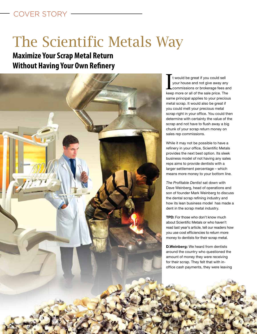# Cover Story

# The Scientific Metals Way

# **Maximize Your Scrap Metal Return Without Having Your Own Refinery**



It would be great if you could sell<br>your house and not give away any<br>commissions or brokerage fees an<br>keep more or all of the sale price. The t would be great if you could sell your house and not give away any commissions or brokerage fees and same principal applies to your precious metal scrap. It would also be great if you could melt your precious metal scrap right in your office. You could then determine with certainty the value of the scrap and not have to flush away a big chunk of your scrap return money on sales rep commissions.

While it may not be possible to have a refinery in your office, Scientific Metals provides the next best option. Its sleek business model of not having any sales reps aims to provide dentists with a larger settlement percentage – which means more money to your bottom line.

*The Profitable Dentist* sat down with Dave Weinberg, head of operations and son of founder Mark Weinberg to discuss the dental scrap refining industry and how its lean business model has made a dent in the scrap metal industry.

**TPD:** For those who don't know much about Scientific Metals or who haven't read last year's article, tell our readers how you use cost efficiencies to return more money to dentists for their scrap metal.

**D.Weinberg:** We heard from dentists around the country who questioned the amount of money they were receiving for their scrap. They felt that with inoffice cash payments, they were leaving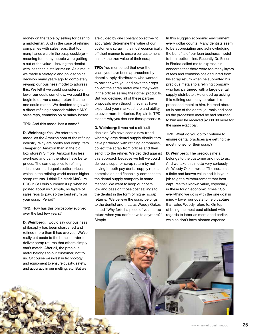money on the table by selling for cash to a middleman. And in the case of refining companies with sales reps, that too many hands were in the scrap cookie jar – meaning too many people were getting a cut of the value – leaving the dentist with less than a stellar return. As a result, we made a strategic and philosophical decision many years ago to completely revamp our business model to address this. We felt if we could considerably lower our costs somehow, we could then begin to deliver a scrap return that no one could match. We decided to go with a direct refining approach without ANY sales reps, commission or salary based.

**TPD:** And this model has a name?

**D. Weinberg:** Yes. We refer to this model as the Amazon.com of the refining industry. Why are books and computers cheaper on Amazon than in the big box stores? Simple, Amazon has less overhead and can therefore have better prices. The same applies to refining – less overhead equals better prices, which in the refining world means higher scrap returns. I think Dr. Mark McClure, DDS in St Louis summed it up when he posted about us "Simple, no layers of sales reps to pay, so the best return on your scrap. Period"

**TPD:** How has this philosophy evolved over the last few years?

**D. Weinberg:** I would say our business philosophy has been sharpened and refined more than it has evolved. We've really cut costs to the bone in order to deliver scrap returns that others simply can't match. After all, the precious metal belongs to our customer, not to us. Of course we invest in technology and equipment to ensure quality, safety, and accuracy in our melting, etc. But we

are guided by one constant objective- to accurately determine the value of our customer's scrap in the most economically efficient manner to ensure our customers unlock the true value of their scrap.

**TPD:** You mentioned that over the years you have been approached by dental supply distributors who wanted to partner with you and have their reps collect the scrap metal while they were in the offices selling their other products. But you declined all of these partner proposals even though they may have expanded your market share and ability to cover more territories. Explain to TPD readers why you declined these proposals.

**D. Weinberg:** It was not a difficult decision. We have seen a new trend whereby large dental supply distributors have partnered with refining companies, collect the scrap from offices and then send it to the refiner. We decided against this approach because we felt we could deliver a superior scrap return by not having to both pay dental supply reps a commission and financially compensate the dental supply company in some manner. We want to keep our costs low and pass on those cost savings to the dentist in the form of higher scrap returns. We believe the scrap belongs to the dentist and that, as Woody Oakes stated "Why forfeit a piece of your scrap return when you don't have to anymore?" Simple.

In this sluggish economic environment, every dollar counts. Many dentists seem to be appreciating and acknowledging the benefits of our lean business model to their bottom line. Recently Dr. Essen in Florida called me to express his concerns that there were too many layers of fees and commissions deducted from his scrap return when he submitted his precious metals to a refining company who had partnered with a large dental supply distributor. He ended up asking this refining company to return his processed metal to him. He read about us in one of the dental journals and sent us the processed metal he had returned to him and he received \$2000.00 more for the same exact bar.

**TPD:** What do you do to continue to ensure dental practices are getting the most money for their scrap?

**D. Weinberg:** The precious metal belongs to the customer and not to us. And we take this motto very seriously. As Woody Oakes wrote "The scrap has a finite and known value and it is your job to get a reimbursement that best captures this known value, especially in these tough economic times." So everything we do is with the one goal in mind – lower our costs to help capture that value Woody refers to. On top of being the most cost efficient with regards to labor as mentioned earlier, we also don't have bloated expense

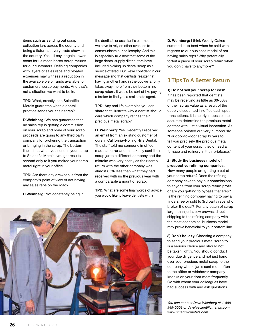items such as sending out scrap collection jars across the county and being a fixture at every trade show in the country. Yes, I'll say it again, lower costs for us mean better scrap returns for our customers. Refining companies with layers of sales reps and bloated expenses may witness a reduction in the available pie of funds available for customers' scrap payments. And that's not a situation we want to be in.

**TPD:** What, exactly, can Scientific Metals guarantee when a dental practice sends you their scrap?

**D.Weinberg:** We can guarantee that no sales rep is getting a commission on your scrap and none of your scrap proceeds are going to any third party company for brokering the transaction or bringing in the scrap. The bottom line is that when you send in your scrap to Scientific Metals, you get results second only to if you melted your scrap metal right in your office.

**TPD:** Are there any drawbacks from the company's point of view of not having any sales reps on the road?

**D.Weinberg:** Not constantly being in

the dentist's or assistant's ear means we have to rely on other avenues to communicate our philosophy. And this is especially true now that some of the large dental supply distributors have included picking up dental scrap as a service offered. But we're confident in our message and that dentists realize that having another hand in the cookie jar only takes away more from their bottom line scrap return. It would be sort of like paying a broker to find you a real estate agent.

**TPD:** Any real life examples you can share that illustrate why a dentist should care which company refines their precious metal scrap?

**D. Weinberg:** Yes. Recently I received an email from an existing customer of ours in California–Rolling Hills Dental. The staff told me someone in office made an error and mistakenly sent their scrap jar to a different company and the mistake was very costly as their scrap return with the other company was almost 65% less than what they had received with us the previous year with a comparable amount of scrap.

**TPD:** What are some final words of advice you would like to leave dentists with?

**D. Weinberg:** I think Woody Oakes summed it up best when he said with regards to our business model of not having sales reps "Why potentially forfeit a piece of your scrap return when you don't have to anymore?"

## **3 Tips To A Better Return**

**1) Do not sell your scrap for cash.**  It has been reported that dentists may be receiving as little as 30-50% of their scrap value as a result of the deeply discounted in-office cash spot transactions. It is nearly impossible to accurate determine the precious metal content with just a visual inspection. As someone pointed out very humorously "For door-to-door scrap buyers to tell you precisely the precious metal content of your scrap, they'd need a furnace and refinery in their briefcase."

**2) Study the business model of prospective refining companies.** 

How many people are getting a cut of your scrap return? Does the refining company have to pay out commissions to anyone from your scrap return profit or are you getting to bypass that step? Is the refining company having to pay a finders fee or split to 3rd party reps who broker the deal? For any batch of scrap larger than just a few crowns, direct shipping to the refining company with the most economical business model may prove beneficial to your bottom line.

**3) Don't be lazy.** Choosing a company to send your precious metal scrap to is a serious choice and should not be taken lightly. You should conduct your due diligence and not just hand over your precious metal scrap to the company whose jar is sent most often to the office or whichever company knocks on your door most frequently. Go with whom your colleagues have had success with and ask questions.

*You can contact Dave Weinberg at 1-888- 949-0008 or dave@scientificmetals.com. www.scientificmetals.com.*